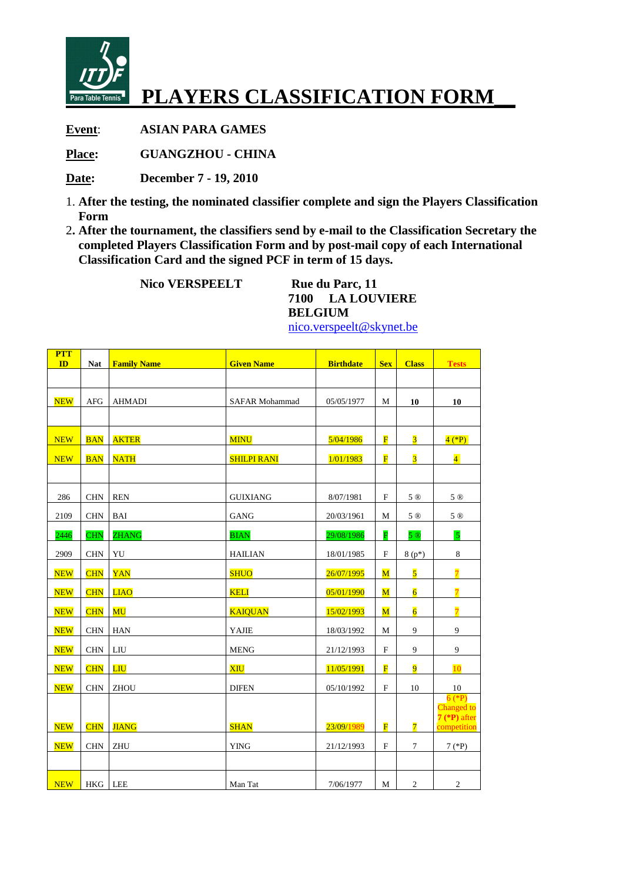

## **PLAYERS CLASSIFICATION FORM\_\_**

**Event**: **ASIAN PARA GAMES** 

**Place: GUANGZHOU - CHINA** 

**Date: December 7 - 19, 2010** 

- 1. **After the testing, the nominated classifier complete and sign the Players Classification Form**
- 2**. After the tournament, the classifiers send by e-mail to the Classification Secretary the completed Players Classification Form and by post-mail copy of each International Classification Card and the signed PCF in term of 15 days.**

**Nico VERSPEELT** Rue du Parc, 11

**7100 LA LOUVIERE BELGIUM** 

nico.verspeelt@skynet.be

| <b>PTT</b><br>ID | <b>Nat</b> | <b>Family Name</b> | <b>Given Name</b>     | <b>Birthdate</b> | <b>Sex</b>                | <b>Class</b>            | <b>Tests</b>                                            |
|------------------|------------|--------------------|-----------------------|------------------|---------------------------|-------------------------|---------------------------------------------------------|
|                  |            |                    |                       |                  |                           |                         |                                                         |
| <b>NEW</b>       | <b>AFG</b> | <b>AHMADI</b>      | <b>SAFAR Mohammad</b> | 05/05/1977       | М                         | 10                      | 10                                                      |
|                  |            |                    |                       |                  |                           |                         |                                                         |
| <b>NEW</b>       | <b>BAN</b> | <b>AKTER</b>       | <b>MINU</b>           | 5/04/1986        | $\overline{\mathbf{F}}$   | $\overline{\mathbf{3}}$ | $4$ (*P)                                                |
| <b>NEW</b>       | <b>BAN</b> | <b>NATH</b>        | <b>SHILPI RANI</b>    | 1/01/1983        | $\overline{\mathbf{F}}$   | $\overline{\mathbf{3}}$ | $\overline{4}$                                          |
|                  |            |                    |                       |                  |                           |                         |                                                         |
| 286              | <b>CHN</b> | <b>REN</b>         | <b>GUIXIANG</b>       | 8/07/1981        | $\mathbf F$               | 5 ®                     | 5 ®                                                     |
| 2109             | <b>CHN</b> | <b>BAI</b>         | <b>GANG</b>           | 20/03/1961       | М                         | 5 ®                     | 5 ®                                                     |
| 2446             | <b>CHN</b> | <b>ZHANG</b>       | <b>BIAN</b>           | 29/08/1986       | $\overline{\mathbf{F}}$   | 5@                      | $\overline{5}$                                          |
| 2909             | <b>CHN</b> | YU                 | <b>HAILIAN</b>        | 18/01/1985       | $\mathbf F$               | $8(p*)$                 | $\,8\,$                                                 |
| <b>NEW</b>       | <b>CHN</b> | <b>YAN</b>         | <b>SHUO</b>           | 26/07/1995       | $\overline{\mathbf{M}}$   | $\overline{\mathbf{5}}$ | $\overline{7}$                                          |
| <b>NEW</b>       | <b>CHN</b> | <b>LIAO</b>        | <b>KELI</b>           | 05/01/1990       | $\overline{\mathbf{M}}$   | $\overline{6}$          | $\overline{7}$                                          |
| <b>NEW</b>       | <b>CHN</b> | MU                 | <b>KAIOUAN</b>        | 15/02/1993       | $\overline{\mathbf{M}}$   | $\overline{6}$          | $\overline{7}$                                          |
| <b>NEW</b>       | <b>CHN</b> | <b>HAN</b>         | YAJIE                 | 18/03/1992       | М                         | 9                       | 9                                                       |
| <b>NEW</b>       | <b>CHN</b> | LIU                | <b>MENG</b>           | 21/12/1993       | $\mathbf F$               | 9                       | 9                                                       |
| <b>NEW</b>       | <b>CHN</b> | <b>LIU</b>         | XIU                   | 11/05/1991       | $\overline{\mathbf{F}}$   | $\overline{9}$          | 10                                                      |
| <b>NEW</b>       | <b>CHN</b> | ZHOU               | <b>DIFEN</b>          | 05/10/1992       | $\boldsymbol{\mathrm{F}}$ | 10                      | 10                                                      |
| <b>NEW</b>       | <b>CHN</b> | <b>JIANG</b>       | <b>SHAN</b>           | 23/09/1989       | $\overline{\mathbf{F}}$   | $\overline{7}$          | $6$ (*P)<br>Changed to<br>$7$ (*P) after<br>competition |
| <b>NEW</b>       | <b>CHN</b> | <b>ZHU</b>         | <b>YING</b>           | 21/12/1993       | $\boldsymbol{\mathrm{F}}$ | $\tau$                  | $7$ (*P)                                                |
|                  |            |                    |                       |                  |                           |                         |                                                         |
| <b>NEW</b>       | <b>HKG</b> | LEE                | Man Tat               | 7/06/1977        | M                         | $\sqrt{2}$              | $\sqrt{2}$                                              |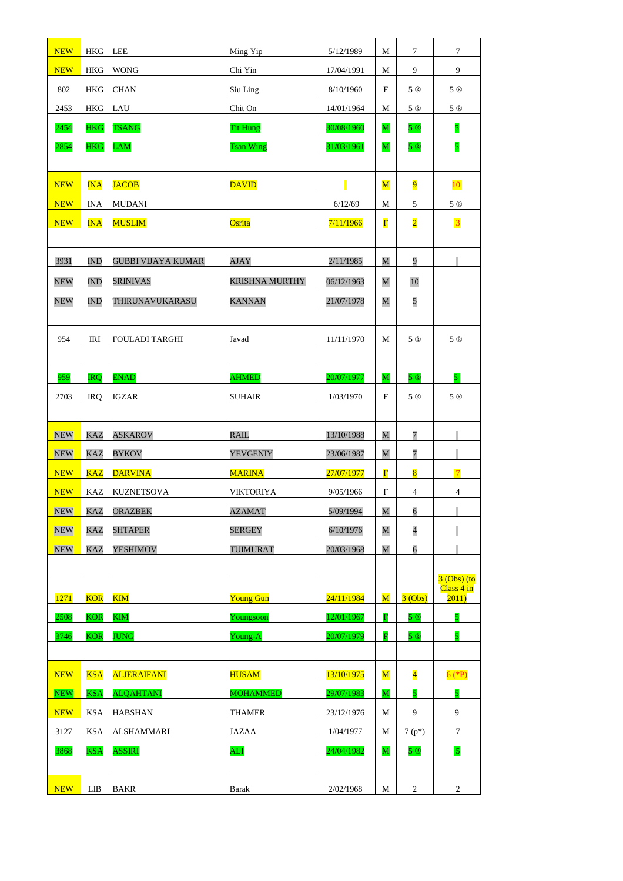| <b>NEW</b> | <b>HKG</b>  | LEE                       | Ming Yip              | 5/12/1989  | М                       | 7                       | 7                           |
|------------|-------------|---------------------------|-----------------------|------------|-------------------------|-------------------------|-----------------------------|
| <b>NEW</b> | <b>HKG</b>  | <b>WONG</b>               | Chi Yin               | 17/04/1991 | М                       | 9                       | 9                           |
| 802        | HKG         | <b>CHAN</b>               | Siu Ling              | 8/10/1960  | F                       | 5 ®                     | 5 ®                         |
| 2453       | <b>HKG</b>  | LAU                       | Chit On               | 14/01/1964 | M                       | 5 ®                     | 5 ®                         |
| 2454       | <b>HKG</b>  | <b>TSANG</b>              | <b>Tit Hung</b>       | 30/08/1960 | M                       | 5 ®                     | 5                           |
| 2854       | <b>HKG</b>  | <b>LAM</b>                | <b>Tsan Wing</b>      | 31/03/1961 | $\mathbf M$             | 5 ®                     | $\overline{\mathbf{5}}$     |
|            |             |                           |                       |            |                         |                         |                             |
| <b>NEW</b> | $INA$       | <b>JACOB</b>              | <b>DAVID</b>          |            | $\mathbf M$             | $\overline{9}$          | 10 <sup>°</sup>             |
| <b>NEW</b> | <b>INA</b>  | <b>MUDANI</b>             |                       | 6/12/69    | М                       | 5                       | 5 ®                         |
| <b>NEW</b> | <b>INA</b>  | <b>MUSLIM</b>             | Osrita                | 7/11/1966  | $\overline{\mathbf{F}}$ | $\overline{2}$          | $\overline{3}$              |
|            |             |                           |                       |            |                         |                         |                             |
| 3931       | <b>IND</b>  | <b>GUBBI VIJAYA KUMAR</b> | <b>AJAY</b>           | 2/11/1985  | M                       | 9                       | П                           |
| <b>NEW</b> | <b>IND</b>  | <b>SRINIVAS</b>           | <b>KRISHNA MURTHY</b> | 06/12/1963 | M                       | 10                      |                             |
| <b>NEW</b> | <b>IND</b>  | THIRUNAVUKARASU           | <b>KANNAN</b>         | 21/07/1978 | M                       | 5                       |                             |
|            |             |                           |                       |            |                         |                         |                             |
| 954        | <b>IRI</b>  | <b>FOULADI TARGHI</b>     | Javad                 | 11/11/1970 | М                       | 5 ®                     | 5 ®                         |
|            |             |                           |                       |            |                         |                         |                             |
| 959        | <b>IRQ</b>  | <b>ENAD</b>               | <b>AHMED</b>          | 20/07/1977 | M                       | 5 ®                     | 5 <sup>1</sup>              |
| 2703       | <b>IRQ</b>  | <b>IGZAR</b>              | <b>SUHAIR</b>         | 1/03/1970  | $\mathbf F$             | 5 ®                     | 5 ®                         |
|            |             |                           |                       |            |                         |                         |                             |
| <b>NEW</b> | <b>KAZ</b>  | <b>ASKAROV</b>            | <b>RAIL</b>           | 13/10/1988 | M                       | $\overline{7}$          |                             |
| <b>NEW</b> | <b>KAZ</b>  | <b>BYKOV</b>              | <b>YEVGENIY</b>       | 23/06/1987 | M                       | 7                       |                             |
| <b>NEW</b> | <b>KAZ</b>  | <b>DARVINA</b>            | <b>MARINA</b>         | 27/07/1977 | $\overline{\mathbf{F}}$ | $\overline{\mathbf{8}}$ | $\overline{7}$              |
| <b>NEW</b> | <b>KAZ</b>  | <b>KUZNETSOVA</b>         | <b>VIKTORIYA</b>      | 9/05/1966  | $\mathbf F$             | 4                       | 4                           |
| <b>NEW</b> | <b>KAZ</b>  | <b>ORAZBEK</b>            | <b>AZAMAT</b>         | 5/09/1994  | $\overline{\mathbf{M}}$ | $\overline{6}$          |                             |
| <b>NEW</b> | <b>KAZ</b>  | <b>SHTAPER</b>            | <b>SERGEY</b>         | 6/10/1976  | M                       | $\overline{4}$          |                             |
| <b>NEW</b> | KAZ         | <b>YESHIMOV</b>           | <b>TUIMURAT</b>       | 20/03/1968 | M                       | 6                       |                             |
|            |             |                           |                       |            |                         |                         |                             |
|            |             |                           |                       |            |                         |                         | $3$ (Obs) (to<br>Class 4 in |
| 1271       | <b>KOR</b>  | $\overline{\text{KIM}}$   | <b>Young Gun</b>      | 24/11/1984 | $\overline{\mathbf{M}}$ | 3(Obs)                  | 2011)                       |
| 2508       | <b>KOR</b>  | <b>KIM</b>                | Youngsoon             | 12/01/1967 | $\overline{\mathbf{F}}$ | 5 ®                     | 5                           |
| 3746       | <b>KOR</b>  | <b>JUNG</b>               | Young-A               | 20/07/1979 | F                       | 5 ®                     | 5                           |
|            |             |                           |                       |            |                         |                         |                             |
| <b>NEW</b> | <b>KSA</b>  | <b>ALJERAIFANI</b>        | <b>HUSAM</b>          | 13/10/1975 | $\overline{\mathbf{M}}$ | $\overline{\mathbf{4}}$ | $6$ (*P)                    |
| <b>NEW</b> | <b>KSA</b>  | <b>ALQAHTANI</b>          | <b>MOHAMMED</b>       | 29/07/1983 | $\overline{\mathbf{M}}$ | $\overline{\mathbf{5}}$ | 5                           |
| <b>NEW</b> | <b>KSA</b>  | <b>HABSHAN</b>            | <b>THAMER</b>         | 23/12/1976 | М                       | 9                       | 9                           |
| 3127       | <b>KSA</b>  | <b>ALSHAMMARI</b>         | <b>JAZAA</b>          | 1/04/1977  | М                       | $7(p*)$                 | $\tau$                      |
| 3868       | <b>KSA</b>  | <b>ASSIRI</b>             | <b>ALI</b>            | 24/04/1982 | M                       | 5 ®                     | $\overline{5}$              |
|            |             |                           |                       |            |                         |                         |                             |
| <b>NEW</b> | ${\rm LIB}$ | BAKR                      | <b>Barak</b>          | 2/02/1968  | M                       | $\overline{c}$          | $\overline{2}$              |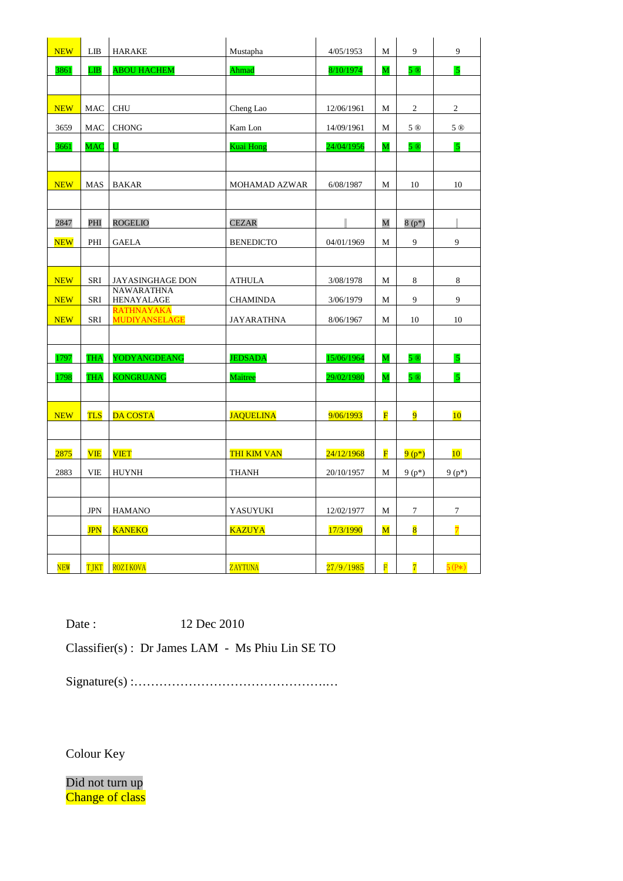| <b>NEW</b> | LIB               | <b>HARAKE</b>                             | Mustapha             | 4/05/1953  | M                       | 9                       | 9                       |
|------------|-------------------|-------------------------------------------|----------------------|------------|-------------------------|-------------------------|-------------------------|
| 3861       | LIB               | <b>ABOU HACHEM</b>                        | Ahmad                | 8/10/1974  | $\overline{\mathbf{M}}$ | 5 ®                     | $\overline{5}$          |
|            |                   |                                           |                      |            |                         |                         |                         |
| <b>NEW</b> | MAC               | <b>CHU</b>                                | Cheng Lao            | 12/06/1961 | M                       | $\boldsymbol{2}$        | $\overline{2}$          |
| 3659       | <b>MAC</b>        | <b>CHONG</b>                              | Kam Lon              | 14/09/1961 | M                       | 5 ®                     | 5 ®                     |
| 3661       | <b>MAC</b>        | U                                         | <b>Kuai Hong</b>     | 24/04/1956 | M                       | 5 ®                     | $\sqrt{5}$              |
|            |                   |                                           |                      |            |                         |                         |                         |
| <b>NEW</b> | MAS               | <b>BAKAR</b>                              | <b>MOHAMAD AZWAR</b> | 6/08/1987  | M                       | 10                      | 10                      |
|            |                   |                                           |                      |            |                         |                         |                         |
| 2847       | PHI               | <b>ROGELIO</b>                            | <b>CEZAR</b>         |            | M                       | $8(p*)$                 | ı                       |
| <b>NEW</b> | PHI               | <b>GAELA</b>                              | <b>BENEDICTO</b>     | 04/01/1969 | $\mathbf M$             | 9                       | 9                       |
|            |                   |                                           |                      |            |                         |                         |                         |
| <b>NEW</b> | SRI               | JAYASINGHAGE DON                          | <b>ATHULA</b>        | 3/08/1978  | M                       | $\,8\,$                 | 8                       |
| <b>NEW</b> | SRI               | <b>NAWARATHNA</b><br>HENAYALAGE           | <b>CHAMINDA</b>      | 3/06/1979  | М                       | 9                       | 9                       |
| <b>NEW</b> | SRI               | <b>RATHNAYAKA</b><br><b>MUDIYANSELAGE</b> | <b>JAYARATHNA</b>    | 8/06/1967  | M                       | 10                      | 10                      |
|            |                   |                                           |                      |            |                         |                         |                         |
| 1797       | <b>THA</b>        | <b>YODYANGDEANG</b>                       | <b>JEDSADA</b>       | 15/06/1964 | M                       | 5 ®                     | $\overline{5}$          |
| 1798       | <b>THA</b>        | <b>KONGRUANG</b>                          | Maitree              | 29/02/1980 | $\overline{\mathbf{M}}$ | 5@                      | $\overline{\mathbf{5}}$ |
|            |                   |                                           |                      |            |                         |                         |                         |
| <b>NEW</b> | <b>TLS</b>        | <b>DA COSTA</b>                           | <b>JAQUELINA</b>     | 9/06/1993  | F                       | 9                       | 10                      |
|            |                   |                                           |                      |            |                         |                         |                         |
| 2875       | VIE               | <b>VIET</b>                               | <b>THI KIM VAN</b>   | 24/12/1968 | $\overline{\mathbf{F}}$ | $9(p*)$                 | 10 <sup>°</sup>         |
| 2883       | VIE               | <b>HUYNH</b>                              | <b>THANH</b>         | 20/10/1957 | M                       | $9(p*)$                 | $9(p*)$                 |
|            |                   |                                           |                      |            |                         |                         |                         |
|            | $_{\mathrm{JPN}}$ | <b>HAMANO</b>                             | YASUYUKI             | 12/02/1977 | М                       | 7                       | $\tau$                  |
|            | <b>JPN</b>        | <b>KANEKO</b>                             | <b>KAZUYA</b>        | 17/3/1990  | $\overline{\mathbf{M}}$ | $\overline{\mathbf{8}}$ | $\overline{7}$          |
|            |                   |                                           |                      |            |                         |                         |                         |
| <b>NEW</b> | <b>TJKT</b>       | <b>ROZIKOVA</b>                           | <b>ZAYTUNA</b>       | 27/9/1985  | $\overline{\mathbf{F}}$ | $\overline{7}$          | $5(P*)$                 |

Date : 12 Dec 2010

Classifier(s) : Dr James LAM - Ms Phiu Lin SE TO

Signature(s) :……………………………………….…

Colour Key

Did not turn up Change of class